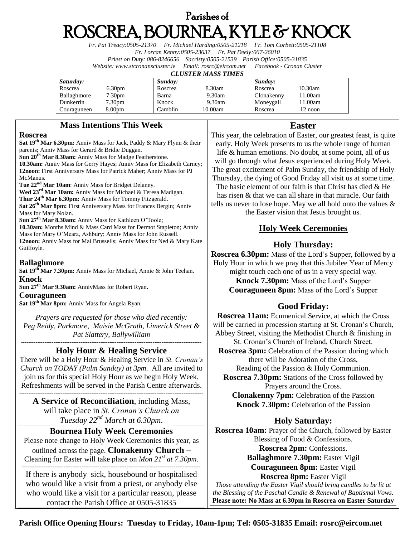# Parishes of ROSCREA, BOURNEA, KYLE & KNOCK

*Fr. Pat Treacy:0505-21370 Fr. Michael Harding:0505-21218 Fr. Tom Corbett:0505-21108 Fr. Lorcan Kenny:0505-23637 Fr. Pat Deely:067-26010 Priest on Duty: 086-8246656 Sacristy:0505-21539 Parish Office:0505-31835 Website[: www.stcronanscluster.ie](http://www.stcronanscluster.ie/) Email: [rosrc@eircom.net](mailto:rosrc@eircom.net) Facebook - Cronan Cluster* 

#### *CLUSTER MASS TIMES*

| Saturday:   |                    | Sunday: |         | Sunday:    |            |
|-------------|--------------------|---------|---------|------------|------------|
| Roscrea     | 6.30 <sub>pm</sub> | Roscrea | 8.30am  | Roscrea    | $10.30$ am |
| Ballaghmore | 7.30pm             | Barna   | 9.30am  | Clonakenny | 1.00am     |
| Dunkerrin   | $7.30 \text{pm}$   | Knock   | 9.30am  | Moneygall  | 1.00am     |
| Couraguneen | 8.00 <sub>pm</sub> | Camblin | 10.00am | Roscrea    | 12 noon    |

### **Mass Intentions This Week**

#### **Roscrea**

**Sat 19th Mar 6.30pm:** Anniv Mass for Jack, Paddy & Mary Flynn & their parents; Anniv Mass for Gerard & Bridie Duggan. **Sun 20th Mar 8.30am:** Anniv Mass for Madge Featherstone. **10.30am:** Anniv Mass for Gerry Hayes; Anniv Mass for Elizabeth Carney; **12noon:** First Anniversary Mass for Patrick Maher; Anniv Mass for PJ McManus.

**Tue 22nd Mar 10am**: Anniv Mass for Bridget Delaney.

**Wed 23rd Mar 10am:** Anniv Mass for Michael & Teresa Madigan. **Thur 24th Mar 6.30pm:** Anniv Mass for Tommy Fitzgerald. **Sat 26th Mar 8pm:** First Anniversary Mass for Frances Bergin; Anniv Mass for Mary Nolan.

**Sun 27th Mar 8.30am:** Anniv Mass for Kathleen O'Toole; **10.30am:** Months Mind & Mass Card Mass for Dermot Stapleton; Anniv Mass for Mary O'Meara, Ashbury; Anniv Mass for John Russell. **12noon:** Anniv Mass for Mai Brussells; Anniv Mass for Ned & Mary Kate Guilfoyle.

### **Ballaghmore**

**Sat 19th Mar 7.30pm:** Anniv Mass for Michael, Annie & John Teehan. **Knock**

**Sun 27th Mar 9.30am:** AnnivMass for Robert Ryan**.**

#### **Couraguneen**

Sat 19<sup>th</sup> Mar 8pm: Anniv Mass for Angela Ryan.

*Prayers are requested for those who died recently: Peg Reidy, Parkmore, Maisie McGrath, Limerick Street & Pat Slattery, Ballywilliam*

#### *----------------------------------------------------------------------------------------------------* **Holy Hour & Healing Service**

There will be a Holy Hour & Healing Service in *St. Cronan's Church on TODAY (Palm Sunday) at 3pm*. All are invited to join us for this special Holy Hour as we begin Holy Week. Refreshments will be served in the Parish Centre afterwards. ------------------------------------------------------------------------------------------------------

**A Service of Reconciliation**, including Mass, will take place in *St. Cronan's Church on Tuesday 22nd March at 6.30pm*.

### **Bournea Holy Week Ceremonies**

Please note change to Holy Week Ceremonies this year, as outlined across the page. **Clonakenny Church –** Cleaning for Easter will take place on *Mon 21st at 7.30pm*.

**---------------------------------------------------------------------------------------------------** If there is anybody sick, housebound or hospitalised who would like a visit from a priest, or anybody else who would like a visit for a particular reason, please contact the Parish Office at 0505-31835

### **Easter**

This year, the celebration of Easter, our greatest feast, is quite early. Holy Week presents to us the whole range of human life & human emotions. No doubt, at some point, all of us will go through what Jesus experienced during Holy Week. The great excitement of Palm Sunday, the friendship of Holy Thursday, the dying of Good Friday all visit us at some time. The basic element of our faith is that Christ has died & He has risen & that we can all share in that miracle. Our faith tells us never to lose hope. May we all hold onto the values & the Easter vision that Jesus brought us.

## **Holy Week Ceremonies**

### **Holy Thursday:**

**Roscrea 6.30pm:** Mass of the Lord's Supper, followed by a Holy Hour in which we pray that this Jubilee Year of Mercy might touch each one of us in a very special way. **Knock 7.30pm:** Mass of the Lord's Supper **Couraguneen 8pm:** Mass of the Lord's Supper

### **Good Friday:**

**Roscrea 11am:** Ecumenical Service, at which the Cross will be carried in procession starting at St. Cronan's Church, Abbey Street, visiting the Methodist Church & finishing in St. Cronan's Church of Ireland, Church Street. **Roscrea 3pm:** Celebration of the Passion during which

there will be Adoration of the Cross, Reading of the Passion & Holy Communion.

**Roscrea 7.30pm:** Stations of the Cross followed by Prayers around the Cross.

**Clonakenny 7pm:** Celebration of the Passion **Knock 7.30pm:** Celebration of the Passion

# **Holy Saturday:**

**Roscrea 10am:** Prayer of the Church, followed by Easter Blessing of Food & Confessions. **Roscrea 2pm:** Confessions.

**Ballaghmore 7.30pm:** Easter Vigil

**Couraguneen 8pm:** Easter Vigil

#### **Roscrea 8pm:** Easter Vigil

*Those attending the Easter Vigil should bring candles to be lit at the Blessing of the Paschal Candle & Renewal of Baptismal Vows.* **Please note: No Mass at 6.30pm in Roscrea on Easter Saturday**

**Parish Office Opening Hours: Tuesday to Friday, 10am-1pm; Tel: 0505-31835 Email: rosrc@eircom.net**